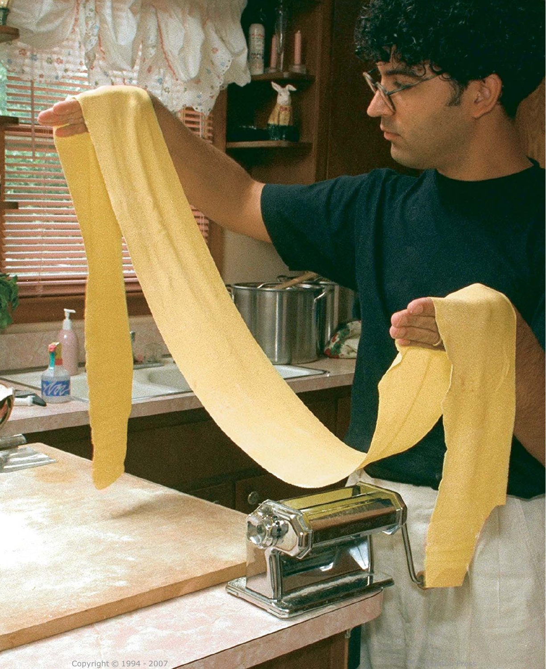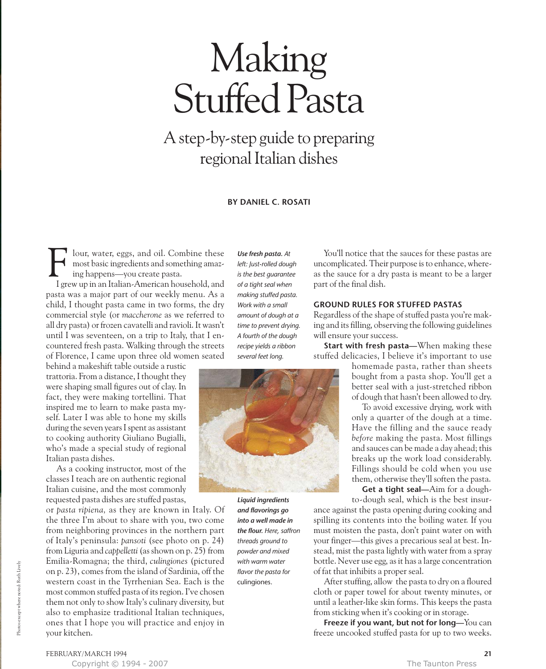# Making Stuffed Pasta

A step-by-step guide to preparing regional Italian dishes

**BY DANIEL C. ROSATI**

lour, water, eggs, and oil. Combine these most basic ingredients and something amazing happens—you create pasta. F

I grew up in an Italian-American household, and pasta was a major part of our weekly menu. As a child, I thought pasta came in two forms, the dry commercial style (or *maccherone* as we referred to all dry pasta) or frozen cavatelli and ravioli. It wasn't until I was seventeen, on a trip to Italy, that I encountered fresh pasta. Walking through the streets of Florence, I came upon three old women seated

behind a makeshift table outside a rustic trattoria. From a distance, I thought they were shaping small figures out of clay. In fact, they were making tortellini. That inspired me to learn to make pasta myself. Later I was able to hone my skills during the seven years I spent as assistant to cooking authority Giuliano Bugialli, who's made a special study of regional Italian pasta dishes.

As a cooking instructor, most of the classes I teach are on authentic regional Italian cuisine, and the most commonly requested pasta dishes are stuffed pastas,

or *pasta ripiena,* as they are known in Italy. Of the three I'm about to share with you, two come from neighboring provinces in the northern part of Italy's peninsula: *pansoti* (see photo on p. 24) from Liguria and *cappelletti*(as shown on p. 25) from Emilia-Romagna; the third, *culingiones* (pictured on p. 23), comes from the island of Sardinia, off the western coast in the Tyrrhenian Sea. Each is the most common stuffed pasta of its region. I've chosen them not only to show Italy's culinary diversity, but also to emphasize traditional Italian techniques, ones that I hope you will practice and enjoy in your kitchen.

*Use fresh pasta. At left: Just-rolled dough is the best guarantee of a tight seal when making stuffed pasta. Work with a small amount of dough at a time to prevent drying. A fourth of the dough recipe yields a ribbon several feet long.*



*Liquid ingredients and flavorings go into a well made in the flour. Here, saffron threads ground to powder and mixed with warm water flavor the pasta for* culingiones.

You'll notice that the sauces for these pastas are uncomplicated. Their purpose is to enhance, whereas the sauce for a dry pasta is meant to be a larger part of the final dish.

# **GROUND RULES FOR STUFFED PASTAS**

Regardless of the shape of stuffed pasta you're making and its filling, observing the following guidelines will ensure your success.

**Start with fresh pasta—**When making these stuffed delicacies, I believe it's important to use

homemade pasta, rather than sheets bought from a pasta shop. You'll get a better seal with a just-stretched ribbon of dough that hasn't been allowed to dry.

To avoid excessive drying, work with only a quarter of the dough at a time. Have the filling and the sauce ready *before* making the pasta. Most fillings and sauces can be made a day ahead; this breaks up the work load considerably. Fillings should be cold when you use them, otherwise they'll soften the pasta.

**Get a tight seal—**Aim for a doughto-dough seal, which is the best insur-

ance against the pasta opening during cooking and spilling its contents into the boiling water. If you must moisten the pasta, don't paint water on with your finger—this gives a precarious seal at best. Instead, mist the pasta lightly with water from a spray bottle. Never use egg, as it has a large concentration of fat that inhibits a proper seal.

After stuffing, allow the pasta to dry on a floured cloth or paper towel for about twenty minutes, or until a leather-like skin forms. This keeps the pasta from sticking when it's cooking or in storage.

**Freeze if you want, but not for long—**You can freeze uncooked stuffed pasta for up to two weeks.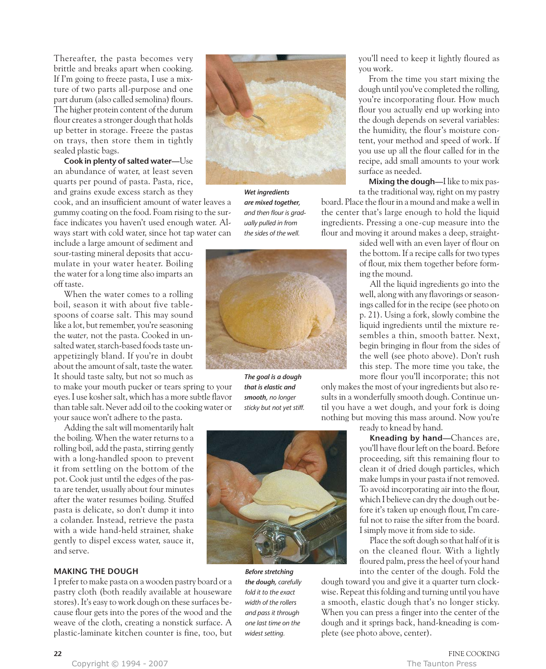Thereafter, the pasta becomes very brittle and breaks apart when cooking. If I'm going to freeze pasta, I use a mixture of two parts all-purpose and one part durum (also called semolina) flours. The higher protein content of the durum flour creates a stronger dough that holds up better in storage. Freeze the pastas on trays, then store them in tightly sealed plastic bags.

**Cook in plenty of salted water—**Use an abundance of water, at least seven quarts per pound of pasta. Pasta, rice, and grains exude excess starch as they

cook, and an insufficient amount of water leaves a gummy coating on the food. Foam rising to the surface indicates you haven't used enough water. Always start with cold water, since hot tap water can

include a large amount of sediment and sour-tasting mineral deposits that accumulate in your water heater. Boiling the water for a long time also imparts an off taste.

When the water comes to a rolling boil, season it with about five tablespoons of coarse salt. This may sound like a lot, but remember, you're seasoning the *water,* not the pasta. Cooked in unsalted water, starch-based foods taste unappetizingly bland. If you're in doubt about the amount of salt, taste the water. It should taste salty, but not so much as

to make your mouth pucker or tears spring to your eyes. I use kosher salt, which has a more subtle flavor than table salt. Never add oil to the cooking water or your sauce won't adhere to the pasta.

Adding the salt will momentarily halt the boiling. When the water returns to a rolling boil, add the pasta, stirring gently with a long-handled spoon to prevent it from settling on the bottom of the pot. Cook just until the edges of the pasta are tender, usually about four minutes after the water resumes boiling. Stuffed pasta is delicate, so don't dump it into a colander. Instead, retrieve the pasta with a wide hand-held strainer, shake gently to dispel excess water, sauce it, and serve.

## **MAKING THE DOUGH**

I prefer to make pasta on a wooden pastry board or a pastry cloth (both readily available at houseware stores). It's easy to work dough on these surfaces because flour gets into the pores of the wood and the weave of the cloth, creating a nonstick surface. A plastic-laminate kitchen counter is fine, too, but



*Wet ingredients are mixed together, and then flour is gradually pulled in from the sides of the well.*



*The goal is a dough that is elastic and smooth, no longer sticky but not yet stiff.*



*Before stretching the dough, carefully fold it to the exact width of the rollers and pass it through one last time on the widest setting.*

you'll need to keep it lightly floured as you work.

From the time you start mixing the dough until you've completed the rolling, you're incorporating flour. How much flour you actually end up working into the dough depends on several variables: the humidity, the flour's moisture content, your method and speed of work. If you use up all the flour called for in the recipe, add small amounts to your work surface as needed.

**Mixing the dough—**I like to mix pas-

ta the traditional way, right on my pastry board. Place the flour in a mound and make a well in the center that's large enough to hold the liquid ingredients. Pressing a one-cup measure into the flour and moving it around makes a deep, straight-

> sided well with an even layer of flour on the bottom. If a recipe calls for two types of flour, mix them together before forming the mound.

> All the liquid ingredients go into the well, along with any flavorings or seasonings called for in the recipe (see photo on p. 21). Using a fork, slowly combine the liquid ingredients until the mixture resembles a thin, smooth batter. Next, begin bringing in flour from the sides of the well (see photo above). Don't rush this step. The more time you take, the more flour you'll incorporate; this not

only makes the most of your ingredients but also results in a wonderfully smooth dough. Continue until you have a wet dough, and your fork is doing nothing but moving this mass around. Now you're

ready to knead by hand.

**Kneading by hand—**Chances are, you'll have flour left on the board. Before proceeding, sift this remaining flour to clean it of dried dough particles, which make lumps in your pasta if not removed. To avoid incorporating air into the flour, which I believe can dry the dough out before it's taken up enough flour, I'm careful not to raise the sifter from the board. I simply move it from side to side.

Place the soft dough so that half of it is on the cleaned flour. With a lightly floured palm, press the heel of your hand into the center of the dough. Fold the

dough toward you and give it a quarter turn clockwise. Repeat this folding and turning until you have a smooth, elastic dough that's no longer sticky. When you can press a finger into the center of the dough and it springs back, hand-kneading is complete (see photo above, center).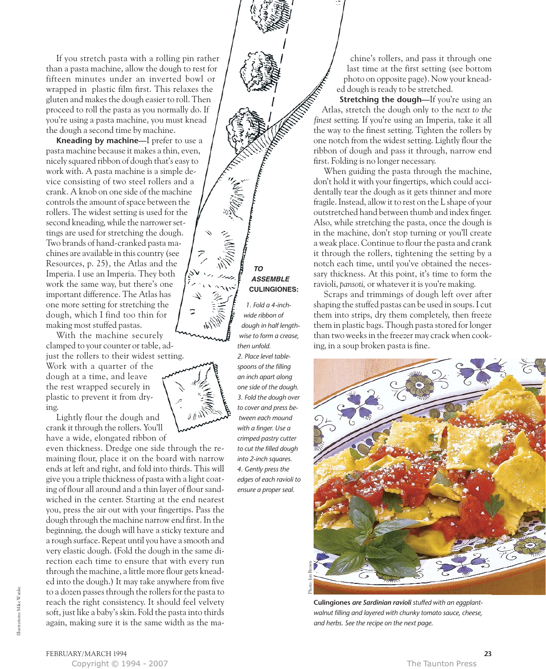If you stretch pasta with a rolling pin rather than a pasta machine, allow the dough to rest for fifteen minutes under an inverted bowl or wrapped in plastic film first. This relaxes the gluten and makes the dough easier to roll. Then proceed to roll the pasta as you normally do. If you're using a pasta machine, you must knead the dough a second time by machine.

**Kneading by machine—**I prefer to use a pasta machine because it makes a thin, even, nicely squared ribbon of dough that's easy to work with. A pasta machine is a simple device consisting of two steel rollers and a crank. A knob on one side of the machine controls the amount of space between the rollers. The widest setting is used for the second kneading, while the narrower settings are used for stretching the dough. Two brands of hand-cranked pasta machines are available in this country (see Resources, p. 25), the Atlas and the Imperia. I use an Imperia. They both work the same way, but there's one important difference. The Atlas has one more setting for stretching the dough, which I find too thin for making most stuffed pastas.

With the machine securely clamped to your counter or table, adjust the rollers to their widest setting.

Work with a quarter of the dough at a time, and leave the rest wrapped securely in plastic to prevent it from drying.

Lightly flour the dough and crank it through the rollers. You'll have a wide, elongated ribbon of

even thickness. Dredge one side through the remaining flour, place it on the board with narrow ends at left and right, and fold into thirds. This will give you a triple thickness of pasta with a light coating of flour all around and a thin layer of flour sandwiched in the center. Starting at the end nearest you, press the air out with your fingertips. Pass the dough through the machine narrow end first. In the beginning, the dough will have a sticky texture and a rough surface. Repeat until you have a smooth and very elastic dough. (Fold the dough in the same direction each time to ensure that with every run through the machine, a little more flour gets kneaded into the dough.) It may take anywhere from five to a dozen passes through the rollers for the pasta to reach the right consistency. It should feel velvety soft, just like a baby's skin. Fold the pasta into thirds again, making sure it is the same width as the ma-



*1. Fold a 4-inchwide ribbon of dough in half lengthwise to form a crease, then unfold. 2. Place level tablespoons of the filling an inch apart along one side of the dough. 3. Fold the dough over to cover and press between each mound with a finger. Use a crimped pastry cutter to cut the filled dough into 2-inch squares. 4. Gently press the edges of each ravioli to ensure a proper seal.*

chine's rollers, and pass it through one last time at the first setting (see bottom photo on opposite page). Now your kneaded dough is ready to be stretched.

**Stretching the dough—If you're using an** Atlas, stretch the dough only to the *next to the finest* setting. If you're using an Imperia, take it all the way to the finest setting. Tighten the rollers by one notch from the widest setting. Lightly flour the ribbon of dough and pass it through, narrow end first. Folding is no longer necessary.

When guiding the pasta through the machine, don't hold it with your fingertips, which could accidentally tear the dough as it gets thinner and more fragile. Instead, allow it to rest on the L shape of your outstretched hand between thumb and index finger. Also, while stretching the pasta, once the dough is in the machine, don't stop turning or you'll create a weak place. Continue to flour the pasta and crank it through the rollers, tightening the setting by a notch each time, until you've obtained the necessary thickness. At this point, it's time to form the ravioli, *pansoti,* or whatever it is you're making.

Scraps and trimmings of dough left over after shaping the stuffed pastas can be used in soups. I cut them into strips, dry them completely, then freeze them in plastic bags. Though pasta stored for longer than two weeks in the freezer may crack when cooking, in a soup broken pasta is fine.



**Culingiones** *are Sardinian ravioli stuffed with an eggplantwalnut filling and layered with chunky tomato sauce, cheese, and herbs. See the recipe on the next page.*



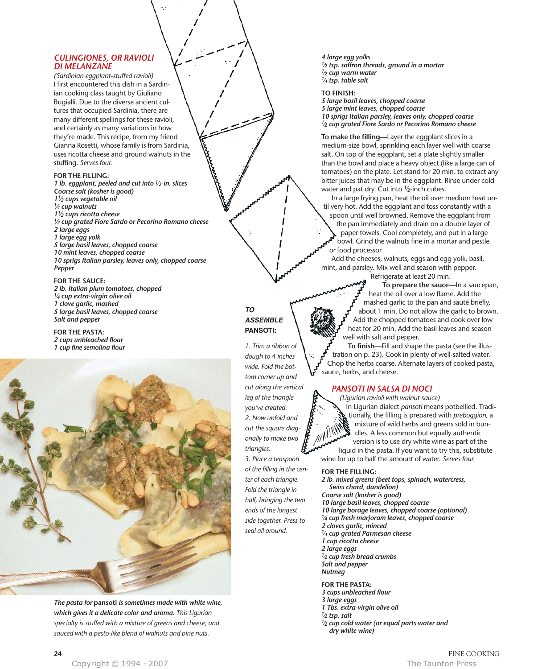# *CULINGIONES, OR RAVIOLI DI MELANZANE*

*(Sardinian eggplant-stuffed ravioli)* I first encountered this dish in a Sardinian cooking class taught by Giuliano Bugialli. Due to the diverse ancient cultures that occupied Sardinia, there are many different spellings for these ravioli, and certainly as many variations in how they're made. This recipe, from my friend Gianna Rosetti, whose family is from Sardinia, uses ricotta cheese and ground walnuts in the stuffing. *Serves four.*

#### **FOR THE FILLING:**

*1 lb. eggplant, peeled and cut into 1⁄2-in. slices Coarse salt (kosher is good) 11⁄2 cups vegetable oil 1⁄4 cup walnuts 11⁄2 cups ricotta cheese 1⁄2 cup grated Fiore Sardo or Pecorino Romano cheese 2 large eggs 1 large egg yolk 5 large basil leaves, chopped coarse 10 mint leaves, chopped coarse 10 sprigs Italian parsley, leaves only, chopped coarse Pepper*

# **FOR THE SAUCE:**

*2 lb. Italian plum tomatoes, chopped 1⁄4 cup extra-virgin olive oil 1 clove garlic, mashed 5 large basil leaves, chopped coarse Salt and pepper*

**FOR THE PASTA:** *2 cups unbleached flour 1 cup fine semolina flour*



*The pasta for* **pansoti** *is sometimes made with white wine, which gives it a delicate color and aroma. This Ligurian specialty is stuffed with a mixture of greens and cheese, and sauced with a pesto-like blend of walnuts and pine nuts.*

# **TO ASSEMBLE PANSOTI:**

*1. Trim a ribbon of dough to 4 inches wide. Fold the bottom corner up and cut along the vertical leg of the triangle you've created. 2. Now unfold and cut the square diagonally to make two triangles. 3. Place a teaspoon of the filling in the center of each triangle. Fold the triangle in half, bringing the two ends of the longest*

*side together. Press to seal all around.*

*4 large egg yolks 1⁄2 tsp. saffron threads, ground in a mortar 1⁄2 cup warm water 1⁄4 tsp. table salt*

**TO FINISH:**

*5 large basil leaves, chopped coarse 5 large mint leaves, chopped coarse 10 sprigs Italian parsley, leaves only, chopped coarse 1⁄2 cup grated Fiore Sardo or Pecorino Romano cheese*

**To make the filling—**Layer the eggplant slices in a medium-size bowl, sprinkling each layer well with coarse salt. On top of the eggplant, set a plate slightly smaller than the bowl and place a heavy object (like a large can of tomatoes) on the plate. Let stand for 20 min. to extract any bitter juices that may be in the eggplant. Rinse under cold water and pat dry. Cut into 1/2-inch cubes.

In a large frying pan, heat the oil over medium heat until very hot. Add the eggplant and toss constantly with a spoon until well browned. Remove the eggplant from the pan immediately and drain on a double layer of paper towels. Cool completely, and put in a large bowl. Grind the walnuts fine in a mortar and pestle or food processor.

Add the cheeses, walnuts, eggs and egg yolk, basil, mint, and parsley. Mix well and season with pepper.

Refrigerate at least 20 min.

**To prepare the sauce—**In a saucepan, heat the oil over a low flame. Add the mashed garlic to the pan and sauté briefly, about 1 min. Do not allow the garlic to brown. Add the chopped tomatoes and cook over low heat for 20 min. Add the basil leaves and season well with salt and pepper.

**To finish—**Fill and shape the pasta (see the illustration on p. 23). Cook in plenty of well-salted water. Chop the herbs coarse. Alternate layers of cooked pasta, sauce, herbs, and cheese.

# *PANSOTI IN SALSA DI NOCI*

*(Ligurian ravioli with walnut sauce)* In Ligurian dialect *pansoti* means potbellied. Traditionally, the filling is prepared with *preboggion,* a mixture of wild herbs and greens sold in bundles. A less common but equally authentic version is to use dry white wine as part of the liquid in the pasta. If you want to try this, substitute wine for up to half the amount of water. *Serves four.*

### **FOR THE FILLING:**

*2 lb. mixed greens (beet tops, spinach, watercress, Swiss chard, dandelion) Coarse salt (kosher is good) 10 large basil leaves, chopped coarse 10 large borage leaves, chopped coarse (optional) 1⁄4 cup fresh marjoram leaves, chopped coarse 2 cloves garlic, minced 1⁄4 cup grated Parmesan cheese 1 cup ricotta cheese 2 large eggs 1⁄2 cup fresh bread crumbs Salt and pepper Nutmeg*

# **FOR THE PASTA:**

*3 cups unbleached flour 3 large eggs*

*1 Tbs. extra-virgin olive oil*

*1⁄2 tsp. salt*

*1⁄2 cup cold water (or equal parts water and dry white wine)*

FINE COOKING